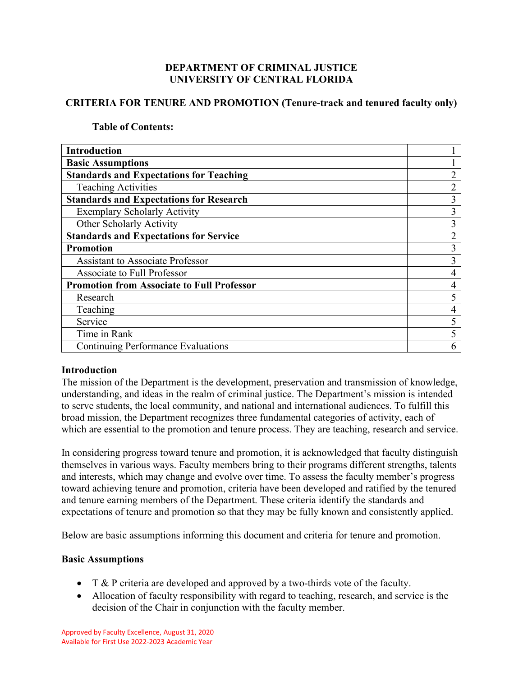# **DEPARTMENT OF CRIMINAL JUSTICE UNIVERSITY OF CENTRAL FLORIDA**

# **CRITERIA FOR TENURE AND PROMOTION (Tenure-track and tenured faculty only)**

## **Table of Contents:**

| <b>Introduction</b>                               |   |
|---------------------------------------------------|---|
| <b>Basic Assumptions</b>                          |   |
| <b>Standards and Expectations for Teaching</b>    |   |
| <b>Teaching Activities</b>                        | ◠ |
| <b>Standards and Expectations for Research</b>    | 3 |
| <b>Exemplary Scholarly Activity</b>               | 3 |
| Other Scholarly Activity                          | 3 |
| <b>Standards and Expectations for Service</b>     |   |
| <b>Promotion</b>                                  | 3 |
| <b>Assistant to Associate Professor</b>           | 3 |
| Associate to Full Professor                       | 4 |
| <b>Promotion from Associate to Full Professor</b> | 4 |
| Research                                          |   |
| Teaching                                          |   |
| Service                                           |   |
| Time in Rank                                      |   |
| <b>Continuing Performance Evaluations</b>         | 6 |

# **Introduction**

The mission of the Department is the development, preservation and transmission of knowledge, understanding, and ideas in the realm of criminal justice. The Department's mission is intended to serve students, the local community, and national and international audiences. To fulfill this broad mission, the Department recognizes three fundamental categories of activity, each of which are essential to the promotion and tenure process. They are teaching, research and service.

In considering progress toward tenure and promotion, it is acknowledged that faculty distinguish themselves in various ways. Faculty members bring to their programs different strengths, talents and interests, which may change and evolve over time. To assess the faculty member's progress toward achieving tenure and promotion, criteria have been developed and ratified by the tenured and tenure earning members of the Department. These criteria identify the standards and expectations of tenure and promotion so that they may be fully known and consistently applied.

Below are basic assumptions informing this document and criteria for tenure and promotion.

# **Basic Assumptions**

- T  $\&$  P criteria are developed and approved by a two-thirds vote of the faculty.
- Allocation of faculty responsibility with regard to teaching, research, and service is the decision of the Chair in conjunction with the faculty member.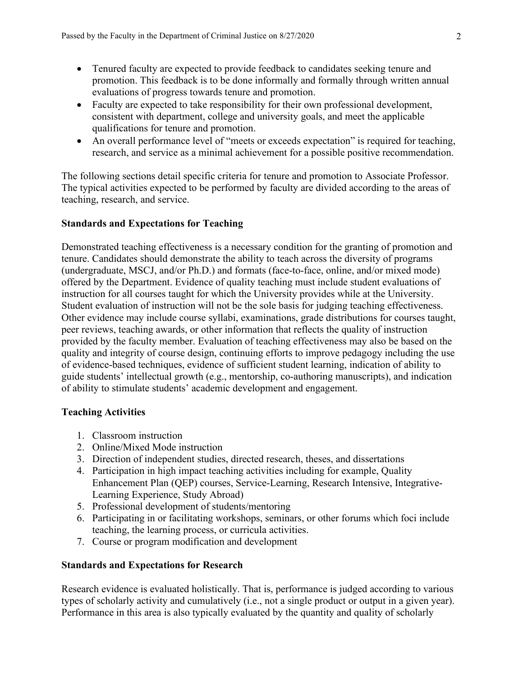- Tenured faculty are expected to provide feedback to candidates seeking tenure and promotion. This feedback is to be done informally and formally through written annual evaluations of progress towards tenure and promotion.
- Faculty are expected to take responsibility for their own professional development, consistent with department, college and university goals, and meet the applicable qualifications for tenure and promotion.
- An overall performance level of "meets or exceeds expectation" is required for teaching, research, and service as a minimal achievement for a possible positive recommendation.

The following sections detail specific criteria for tenure and promotion to Associate Professor. The typical activities expected to be performed by faculty are divided according to the areas of teaching, research, and service.

# **Standards and Expectations for Teaching**

Demonstrated teaching effectiveness is a necessary condition for the granting of promotion and tenure. Candidates should demonstrate the ability to teach across the diversity of programs (undergraduate, MSCJ, and/or Ph.D.) and formats (face-to-face, online, and/or mixed mode) offered by the Department. Evidence of quality teaching must include student evaluations of instruction for all courses taught for which the University provides while at the University. Student evaluation of instruction will not be the sole basis for judging teaching effectiveness. Other evidence may include course syllabi, examinations, grade distributions for courses taught, peer reviews, teaching awards, or other information that reflects the quality of instruction provided by the faculty member. Evaluation of teaching effectiveness may also be based on the quality and integrity of course design, continuing efforts to improve pedagogy including the use of evidence-based techniques, evidence of sufficient student learning, indication of ability to guide students' intellectual growth (e.g., mentorship, co-authoring manuscripts), and indication of ability to stimulate students' academic development and engagement.

# **Teaching Activities**

- 1. Classroom instruction
- 2. Online/Mixed Mode instruction
- 3. Direction of independent studies, directed research, theses, and dissertations
- 4. Participation in high impact teaching activities including for example, Quality Enhancement Plan (QEP) courses, Service-Learning, Research Intensive, Integrative-Learning Experience, Study Abroad)
- 5. Professional development of students/mentoring
- 6. Participating in or facilitating workshops, seminars, or other forums which foci include teaching, the learning process, or curricula activities.
- 7. Course or program modification and development

# **Standards and Expectations for Research**

Research evidence is evaluated holistically. That is, performance is judged according to various types of scholarly activity and cumulatively (i.e., not a single product or output in a given year). Performance in this area is also typically evaluated by the quantity and quality of scholarly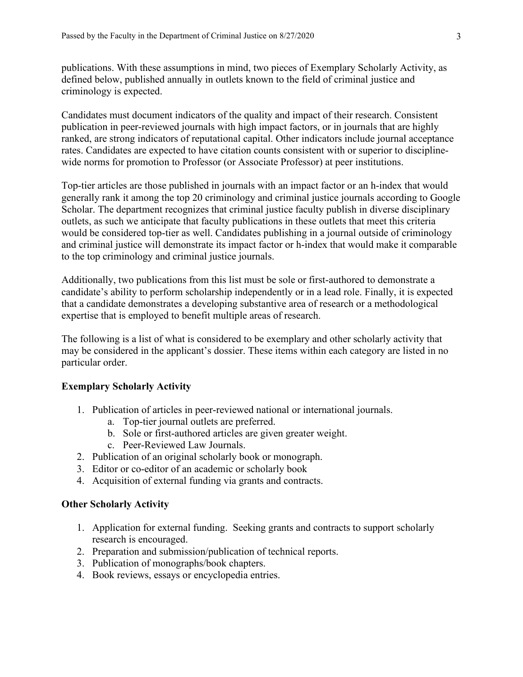publications. With these assumptions in mind, two pieces of Exemplary Scholarly Activity, as defined below, published annually in outlets known to the field of criminal justice and criminology is expected.

Candidates must document indicators of the quality and impact of their research. Consistent publication in peer-reviewed journals with high impact factors, or in journals that are highly ranked, are strong indicators of reputational capital. Other indicators include journal acceptance rates. Candidates are expected to have citation counts consistent with or superior to disciplinewide norms for promotion to Professor (or Associate Professor) at peer institutions.

Top-tier articles are those published in journals with an impact factor or an h-index that would generally rank it among the top 20 criminology and criminal justice journals according to Google Scholar. The department recognizes that criminal justice faculty publish in diverse disciplinary outlets, as such we anticipate that faculty publications in these outlets that meet this criteria would be considered top-tier as well. Candidates publishing in a journal outside of criminology and criminal justice will demonstrate its impact factor or h-index that would make it comparable to the top criminology and criminal justice journals.

Additionally, two publications from this list must be sole or first-authored to demonstrate a candidate's ability to perform scholarship independently or in a lead role. Finally, it is expected that a candidate demonstrates a developing substantive area of research or a methodological expertise that is employed to benefit multiple areas of research.

The following is a list of what is considered to be exemplary and other scholarly activity that may be considered in the applicant's dossier. These items within each category are listed in no particular order.

### **Exemplary Scholarly Activity**

- 1. Publication of articles in peer-reviewed national or international journals.
	- a. Top-tier journal outlets are preferred.
	- b. Sole or first-authored articles are given greater weight.
	- c. Peer-Reviewed Law Journals.
- 2. Publication of an original scholarly book or monograph.
- 3. Editor or co-editor of an academic or scholarly book
- 4. Acquisition of external funding via grants and contracts.

## **Other Scholarly Activity**

- 1. Application for external funding. Seeking grants and contracts to support scholarly research is encouraged.
- 2. Preparation and submission/publication of technical reports.
- 3. Publication of monographs/book chapters.
- 4. Book reviews, essays or encyclopedia entries.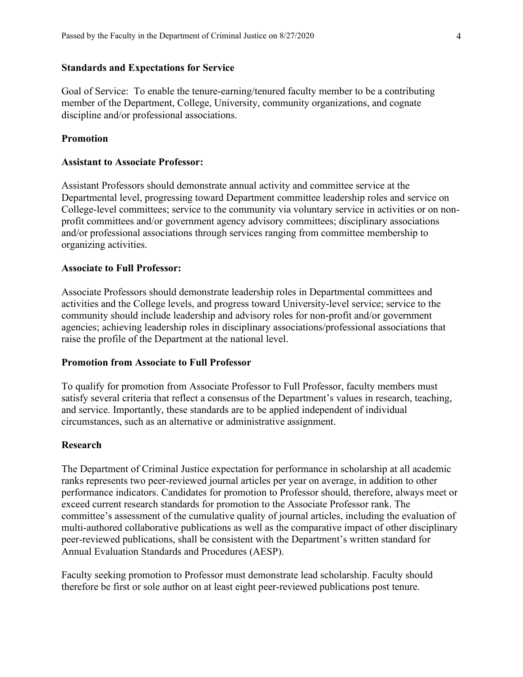### **Standards and Expectations for Service**

Goal of Service: To enable the tenure-earning/tenured faculty member to be a contributing member of the Department, College, University, community organizations, and cognate discipline and/or professional associations.

### **Promotion**

### **Assistant to Associate Professor:**

Assistant Professors should demonstrate annual activity and committee service at the Departmental level, progressing toward Department committee leadership roles and service on College-level committees; service to the community via voluntary service in activities or on nonprofit committees and/or government agency advisory committees; disciplinary associations and/or professional associations through services ranging from committee membership to organizing activities.

### **Associate to Full Professor:**

Associate Professors should demonstrate leadership roles in Departmental committees and activities and the College levels, and progress toward University-level service; service to the community should include leadership and advisory roles for non-profit and/or government agencies; achieving leadership roles in disciplinary associations/professional associations that raise the profile of the Department at the national level.

## **Promotion from Associate to Full Professor**

To qualify for promotion from Associate Professor to Full Professor, faculty members must satisfy several criteria that reflect a consensus of the Department's values in research, teaching, and service. Importantly, these standards are to be applied independent of individual circumstances, such as an alternative or administrative assignment.

#### **Research**

The Department of Criminal Justice expectation for performance in scholarship at all academic ranks represents two peer-reviewed journal articles per year on average, in addition to other performance indicators. Candidates for promotion to Professor should, therefore, always meet or exceed current research standards for promotion to the Associate Professor rank. The committee's assessment of the cumulative quality of journal articles, including the evaluation of multi-authored collaborative publications as well as the comparative impact of other disciplinary peer-reviewed publications, shall be consistent with the Department's written standard for Annual Evaluation Standards and Procedures (AESP).

Faculty seeking promotion to Professor must demonstrate lead scholarship. Faculty should therefore be first or sole author on at least eight peer-reviewed publications post tenure.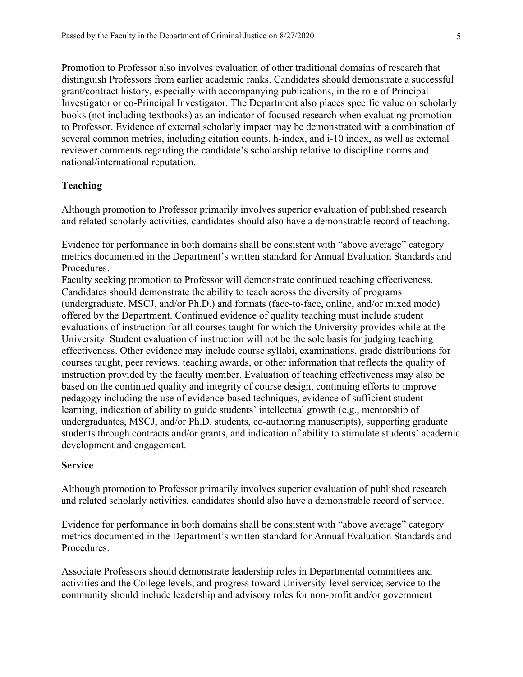Promotion to Professor also involves evaluation of other traditional domains of research that distinguish Professors from earlier academic ranks. Candidates should demonstrate a successful grant/contract history, especially with accompanying publications, in the role of Principal Investigator or co-Principal Investigator. The Department also places specific value on scholarly books (not including textbooks) as an indicator of focused research when evaluating promotion to Professor. Evidence of external scholarly impact may be demonstrated with a combination of several common metrics, including citation counts, h-index, and i-10 index, as well as external reviewer comments regarding the candidate's scholarship relative to discipline norms and national/international reputation.

### **Teaching**

Although promotion to Professor primarily involves superior evaluation of published research and related scholarly activities, candidates should also have a demonstrable record of teaching.

Evidence for performance in both domains shall be consistent with "above average" category metrics documented in the Department's written standard for Annual Evaluation Standards and Procedures.

Faculty seeking promotion to Professor will demonstrate continued teaching effectiveness. Candidates should demonstrate the ability to teach across the diversity of programs (undergraduate, MSCJ, and/or Ph.D.) and formats (face-to-face, online, and/or mixed mode) offered by the Department. Continued evidence of quality teaching must include student evaluations of instruction for all courses taught for which the University provides while at the University. Student evaluation of instruction will not be the sole basis for judging teaching effectiveness. Other evidence may include course syllabi, examinations, grade distributions for courses taught, peer reviews, teaching awards, or other information that reflects the quality of instruction provided by the faculty member. Evaluation of teaching effectiveness may also be based on the continued quality and integrity of course design, continuing efforts to improve pedagogy including the use of evidence-based techniques, evidence of sufficient student learning, indication of ability to guide students' intellectual growth (e.g., mentorship of undergraduates, MSCJ, and/or Ph.D. students, co-authoring manuscripts), supporting graduate students through contracts and/or grants, and indication of ability to stimulate students' academic development and engagement.

### **Service**

Although promotion to Professor primarily involves superior evaluation of published research and related scholarly activities, candidates should also have a demonstrable record of service.

Evidence for performance in both domains shall be consistent with "above average" category metrics documented in the Department's written standard for Annual Evaluation Standards and Procedures.

Associate Professors should demonstrate leadership roles in Departmental committees and activities and the College levels, and progress toward University-level service; service to the community should include leadership and advisory roles for non-profit and/or government